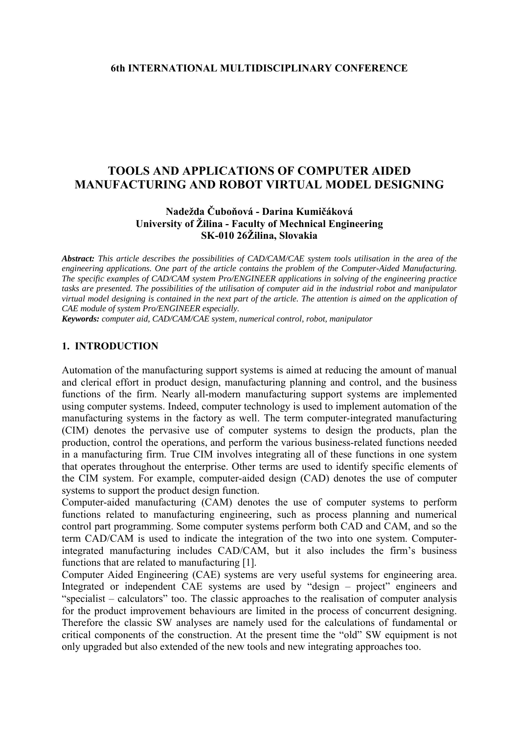# **TOOLS AND APPLICATIONS OF COMPUTER AIDED MANUFACTURING AND ROBOT VIRTUAL MODEL DESIGNING**

#### **Nadežda Čuboňová - Darina Kumičáková University of Žilina - Faculty of Mechnical Engineering SK-010 26Žilina, Slovakia**

*Abstract: This article describes the possibilities of CAD/CAM/CAE system tools utilisation in the area of the engineering applications. One part of the article contains the problem of the Computer-Aided Manufacturing. The specific examples of CAD/CAM system Pro/ENGINEER applications in solving of the engineering practice tasks are presented. The possibilities of the utilisation of computer aid in the industrial robot and manipulator virtual model designing is contained in the next part of the article. The attention is aimed on the application of CAE module of system Pro/ENGINEER especially.* 

*Keywords: computer aid, CAD/CAM/CAE system, numerical control, robot, manipulator* 

### **1. INTRODUCTION**

Automation of the manufacturing support systems is aimed at reducing the amount of manual and clerical effort in product design, manufacturing planning and control, and the business functions of the firm. Nearly all-modern manufacturing support systems are implemented using computer systems. Indeed, computer technology is used to implement automation of the manufacturing systems in the factory as well. The term computer-integrated manufacturing (CIM) denotes the pervasive use of computer systems to design the products, plan the production, control the operations, and perform the various business-related functions needed in a manufacturing firm. True CIM involves integrating all of these functions in one system that operates throughout the enterprise. Other terms are used to identify specific elements of the CIM system. For example, computer-aided design (CAD) denotes the use of computer systems to support the product design function.

Computer-aided manufacturing (CAM) denotes the use of computer systems to perform functions related to manufacturing engineering, such as process planning and numerical control part programming. Some computer systems perform both CAD and CAM, and so the term CAD/CAM is used to indicate the integration of the two into one system. Computerintegrated manufacturing includes CAD/CAM, but it also includes the firm's business functions that are related to manufacturing [1].

Computer Aided Engineering (CAE) systems are very useful systems for engineering area. Integrated or independent CAE systems are used by "design – project" engineers and "specialist – calculators" too. The classic approaches to the realisation of computer analysis for the product improvement behaviours are limited in the process of concurrent designing. Therefore the classic SW analyses are namely used for the calculations of fundamental or critical components of the construction. At the present time the "old" SW equipment is not only upgraded but also extended of the new tools and new integrating approaches too.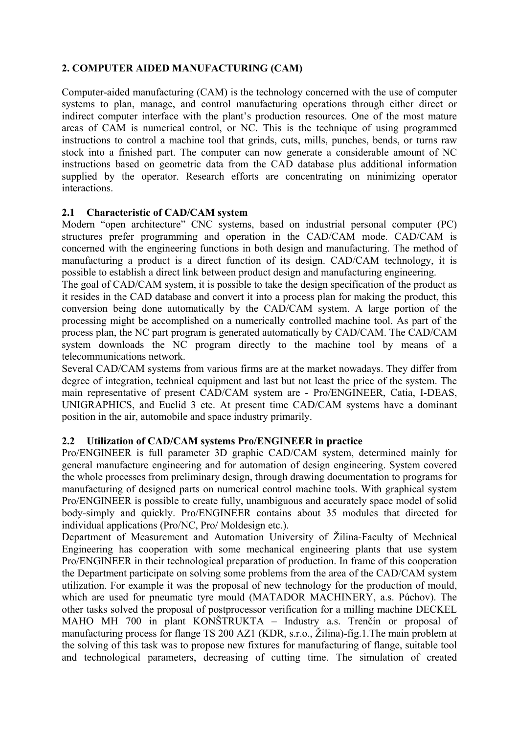## **2. COMPUTER AIDED MANUFACTURING (CAM)**

Computer-aided manufacturing (CAM) is the technology concerned with the use of computer systems to plan, manage, and control manufacturing operations through either direct or indirect computer interface with the plant's production resources. One of the most mature areas of CAM is numerical control, or NC. This is the technique of using programmed instructions to control a machine tool that grinds, cuts, mills, punches, bends, or turns raw stock into a finished part. The computer can now generate a considerable amount of NC instructions based on geometric data from the CAD database plus additional information supplied by the operator. Research efforts are concentrating on minimizing operator interactions.

## **2.1 Characteristic of CAD/CAM system**

Modern "open architecture" CNC systems, based on industrial personal computer (PC) structures prefer programming and operation in the CAD/CAM mode. CAD/CAM is concerned with the engineering functions in both design and manufacturing. The method of manufacturing a product is a direct function of its design. CAD/CAM technology, it is possible to establish a direct link between product design and manufacturing engineering.

The goal of CAD/CAM system, it is possible to take the design specification of the product as it resides in the CAD database and convert it into a process plan for making the product, this conversion being done automatically by the CAD/CAM system. A large portion of the processing might be accomplished on a numerically controlled machine tool. As part of the process plan, the NC part program is generated automatically by CAD/CAM. The CAD/CAM system downloads the NC program directly to the machine tool by means of a telecommunications network.

Several CAD/CAM systems from various firms are at the market nowadays. They differ from degree of integration, technical equipment and last but not least the price of the system. The main representative of present CAD/CAM system are - Pro/ENGINEER, Catia, I-DEAS, UNIGRAPHICS, and Euclid 3 etc. At present time CAD/CAM systems have a dominant position in the air, automobile and space industry primarily.

## **2.2 Utilization of CAD/CAM systems Pro/ENGINEER in practice**

Pro/ENGINEER is full parameter 3D graphic CAD/CAM system, determined mainly for general manufacture engineering and for automation of design engineering. System covered the whole processes from preliminary design, through drawing documentation to programs for manufacturing of designed parts on numerical control machine tools. With graphical system Pro/ENGINEER is possible to create fully, unambiguous and accurately space model of solid body-simply and quickly. Pro/ENGINEER contains about 35 modules that directed for individual applications (Pro/NC, Pro/ Moldesign etc.).

Department of Measurement and Automation University of Žilina-Faculty of Mechnical Engineering has cooperation with some mechanical engineering plants that use system Pro/ENGINEER in their technological preparation of production. In frame of this cooperation the Department participate on solving some problems from the area of the CAD/CAM system utilization. For example it was the proposal of new technology for the production of mould, which are used for pneumatic tyre mould (MATADOR MACHINERY, a.s. Púchov). The other tasks solved the proposal of postprocessor verification for a milling machine DECKEL MAHO MH 700 in plant KONŠTRUKTA – Industry a.s. Trenčín or proposal of manufacturing process for flange TS 200 AZ1 (KDR, s.r.o., Žilina)-fig.1.The main problem at the solving of this task was to propose new fixtures for manufacturing of flange, suitable tool and technological parameters, decreasing of cutting time. The simulation of created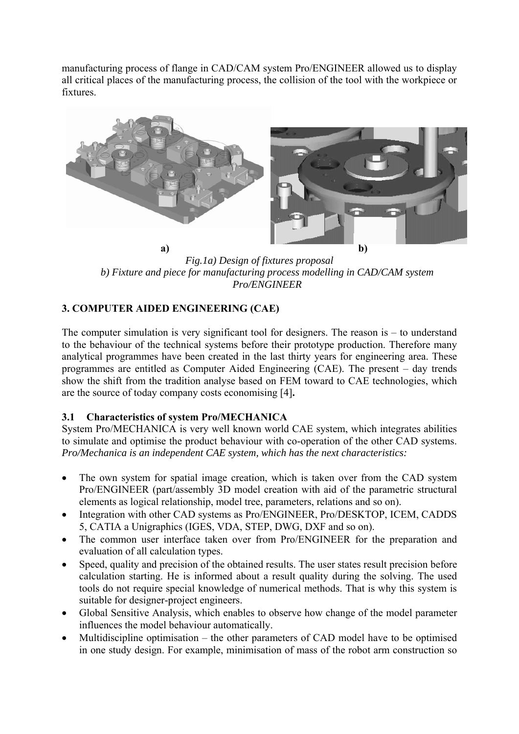manufacturing process of flange in CAD/CAM system Pro/ENGINEER allowed us to display all critical places of the manufacturing process, the collision of the tool with the workpiece or fixtures.



*Fig.1a) Design of fixtures proposal b) Fixture and piece for manufacturing process modelling in CAD/CAM system Pro/ENGINEER* 

# **3. COMPUTER AIDED ENGINEERING (CAE)**

The computer simulation is very significant tool for designers. The reason is – to understand to the behaviour of the technical systems before their prototype production. Therefore many analytical programmes have been created in the last thirty years for engineering area. These programmes are entitled as Computer Aided Engineering (CAE). The present – day trends show the shift from the tradition analyse based on FEM toward to CAE technologies, which are the source of today company costs economising [4]**.** 

# **3.1 Characteristics of system Pro/MECHANICA**

System Pro/MECHANICA is very well known world CAE system, which integrates abilities to simulate and optimise the product behaviour with co-operation of the other CAD systems. *Pro/Mechanica is an independent CAE system, which has the next characteristics:* 

- The own system for spatial image creation, which is taken over from the CAD system Pro/ENGINEER (part/assembly 3D model creation with aid of the parametric structural elements as logical relationship, model tree, parameters, relations and so on).
- Integration with other CAD systems as Pro/ENGINEER, Pro/DESKTOP, ICEM, CADDS 5, CATIA a Unigraphics (IGES, VDA, STEP, DWG, DXF and so on).
- The common user interface taken over from Pro/ENGINEER for the preparation and evaluation of all calculation types.
- Speed, quality and precision of the obtained results. The user states result precision before calculation starting. He is informed about a result quality during the solving. The used tools do not require special knowledge of numerical methods. That is why this system is suitable for designer-project engineers.
- Global Sensitive Analysis, which enables to observe how change of the model parameter influences the model behaviour automatically.
- Multidiscipline optimisation the other parameters of CAD model have to be optimised in one study design. For example, minimisation of mass of the robot arm construction so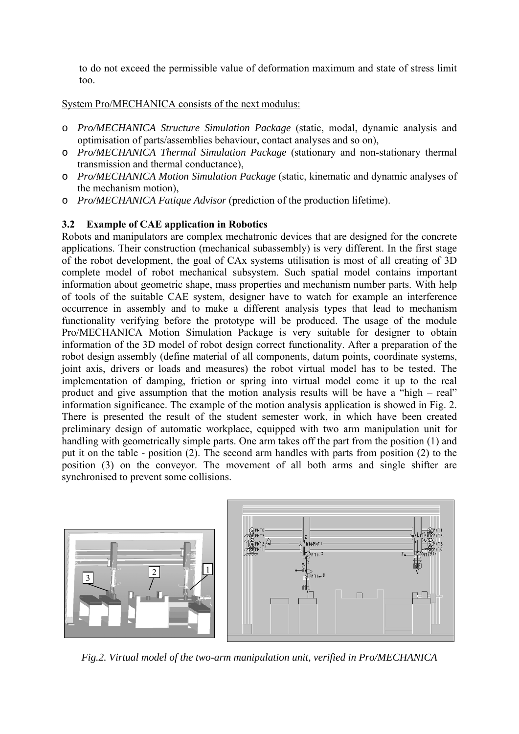to do not exceed the permissible value of deformation maximum and state of stress limit too.

System Pro/MECHANICA consists of the next modulus:

- o *Pro/MECHANICA Structure Simulation Package* (static, modal, dynamic analysis and optimisation of parts/assemblies behaviour, contact analyses and so on),
- o *Pro/MECHANICA Thermal Simulation Package* (stationary and non-stationary thermal transmission and thermal conductance),
- o *Pro/MECHANICA Motion Simulation Package* (static, kinematic and dynamic analyses of the mechanism motion),
- o *Pro/MECHANICA Fatique Advisor* (prediction of the production lifetime).

## **3.2 Example of CAE application in Robotics**

Robots and manipulators are complex mechatronic devices that are designed for the concrete applications. Their construction (mechanical subassembly) is very different. In the first stage of the robot development, the goal of CAx systems utilisation is most of all creating of 3D complete model of robot mechanical subsystem. Such spatial model contains important information about geometric shape, mass properties and mechanism number parts. With help of tools of the suitable CAE system, designer have to watch for example an interference occurrence in assembly and to make a different analysis types that lead to mechanism functionality verifying before the prototype will be produced. The usage of the module Pro/MECHANICA Motion Simulation Package is very suitable for designer to obtain information of the 3D model of robot design correct functionality. After a preparation of the robot design assembly (define material of all components, datum points, coordinate systems, joint axis, drivers or loads and measures) the robot virtual model has to be tested. The implementation of damping, friction or spring into virtual model come it up to the real product and give assumption that the motion analysis results will be have a "high – real" information significance. The example of the motion analysis application is showed in Fig. 2. There is presented the result of the student semester work, in which have been created preliminary design of automatic workplace, equipped with two arm manipulation unit for handling with geometrically simple parts. One arm takes off the part from the position (1) and put it on the table - position (2). The second arm handles with parts from position (2) to the position (3) on the conveyor. The movement of all both arms and single shifter are synchronised to prevent some collisions.



*Fig.2. Virtual model of the two-arm manipulation unit, verified in Pro/MECHANICA*